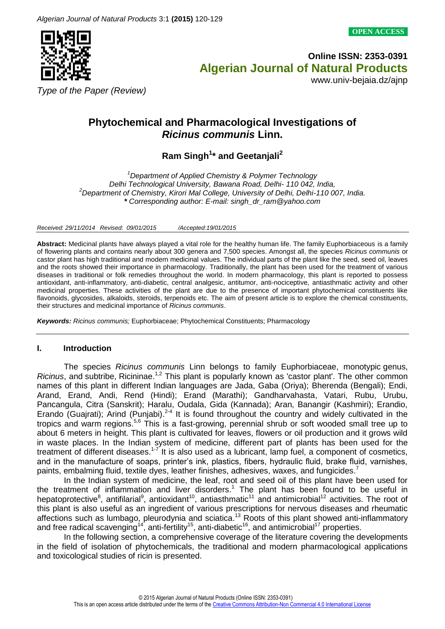**OPEN ACCESS**



**Online ISSN: 2353-0391**  **Algerian Journal of Natural Products**

www.univ-bejaia.dz/ajnp

*Type of the Paper (Review)*

# **Phytochemical and Pharmacological Investigations of**  *Ricinus communis* **Linn.**

**Ram Singh<sup>1</sup> \* and Geetanjali<sup>2</sup>**

*<sup>1</sup>Department of Applied Chemistry & Polymer Technology Delhi Technological University, Bawana Road, Delhi- 110 042, India, <sup>2</sup>Department of Chemistry, Kirori Mal College, University of Delhi, Delhi-110 007, India. \* Corresponding author: E-mail: singh\_dr\_ram@yahoo.com*

*Received: 29/11/2014 Revised: 09/01/2015 /Accepted:19/01/2015*

**Abstract:** Medicinal plants have always played a vital role for the healthy human life. The family Euphorbiaceous is a family of flowering plants and contains nearly about 300 genera and 7,500 species. Amongst all, the species *Ricinus communis* or castor plant has high traditional and modern medicinal values. The individual parts of the plant like the seed, seed oil, leaves and the roots showed their importance in pharmacology. Traditionally, the plant has been used for the treatment of various diseases in traditional or folk remedies throughout the world. In modern pharmacology, this plant is reported to possess antioxidant, anti-inflammatory, anti-diabetic, central analgesic, antitumor, anti-nociceptive, antiasthmatic activity and other medicinal properties. These activities of the plant are due to the presence of important phytochemical constituents like flavonoids, glycosides, alkaloids, steroids, terpenoids etc. The aim of present article is to explore the chemical constituents, their structures and medicinal importance of *Ricinus communis*.

*Keywords: Ricinus communis;* Euphorbiaceae; Phytochemical Constituents; Pharmacology

## **I. Introduction**

The species *Ricinus communis* Linn belongs to family Euphorbiaceae, monotypic genus, Ricinus, and subtribe, Ricininae.<sup>1,2</sup> This plant is popularly known as 'castor plant'. The other common names of this plant in different Indian languages are Jada, Gaba (Oriya); Bherenda (Bengali); Endi, Arand, Erand, Andi, Rend (Hindi); Erand (Marathi); Gandharvahasta, Vatari, Rubu, Urubu, Pancangula, Citra (Sanskrit); Haralu, Oudala, Gida (Kannada); Aran, Banangir (Kashmiri); Erandio, Erando (Guajrati); Arind (Punjabi).<sup>2-4</sup> It is found throughout the country and widely cultivated in the tropics and warm regions.<sup>5,6</sup> This is a fast-growing, perennial shrub or soft wooded small tree up to about 6 meters in height. This plant is cultivated for leaves, flowers or oil production and it grows wild in waste places. In the Indian system of medicine, different part of plants has been used for the treatment of different diseases.<sup>1-7</sup> It is also used as a lubricant, lamp fuel, a component of cosmetics, and in the manufacture of soaps, printer's ink, plastics, fibers, hydraulic fluid, brake fluid, varnishes, paints, embalming fluid, textile dyes, leather finishes, adhesives, waxes, and fungicides.<sup>7</sup>

In the Indian system of medicine, the leaf, root and seed oil of this plant have been used for the treatment of inflammation and liver disorders.<sup>1</sup> The plant has been found to be useful in hepatoprotective<sup>8</sup>, antifilarial<sup>9</sup>, antioxidant<sup>10</sup>, antiasthmatic<sup>11</sup> and antimicrobial<sup>12</sup> activities. The root of this plant is also useful as an ingredient of various prescriptions for nervous diseases and rheumatic affections such as lumbago, pleurodynia and sciatica.<sup>13</sup> Roots of this plant showed anti-inflammatory and free radical scavenging<sup>14</sup>, anti-fertility<sup>15</sup>, anti-diabetic<sup>16</sup>, and antimicrobial<sup>17</sup> properties.

In the following section, a comprehensive coverage of the literature covering the developments in the field of isolation of phytochemicals, the traditional and modern pharmacological applications and toxicological studies of ricin is presented.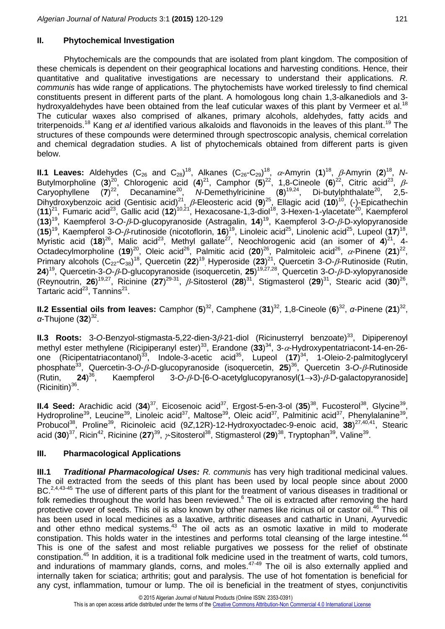## **II. Phytochemical Investigation**

Phytochemicals are the compounds that are isolated from plant kingdom. The composition of these chemicals is dependent on their geographical locations and harvesting conditions. Hence, their quantitative and qualitative investigations are necessary to understand their applications. *R. communis* has wide range of applications. The phytochemists have worked tirelessly to find chemical constituents present in different parts of the plant. A homologous long chain 1,3-alkanediols and 3 hydroxyaldehydes have been obtained from the leaf cuticular waxes of this plant by Vermeer et al.<sup>18</sup> The cuticular waxes also comprised of alkanes, primary alcohols, aldehydes, fatty acids and triterpenoids.<sup>18</sup> Kang *et al* identified various alkaloids and flavonoids in the leaves of this plant.<sup>19</sup> The structures of these compounds were determined through spectroscopic analysis, chemical correlation and chemical degradation studies. A list of phytochemicals obtained from different parts is given below.

**II.1 Leaves:** Aldehydes (C<sub>26</sub> and C<sub>28</sub>)<sup>18</sup>, Alkanes (C<sub>26</sub>-C<sub>29</sub>)<sup>18</sup>,  $\alpha$ -Amyrin (1)<sup>18</sup>,  $\beta$ -Amyrin (2)<sup>18</sup>, N-Butylmorpholine (3)<sup>20</sup>, Chlorogenic acid (4)<sup>21</sup>, Camphor (5)<sup>22</sup>, 1,8-Cineole (6)<sup>22</sup>, Citric acid<sup>23</sup>, *ß*-Caryophyllene (7)<sup>22</sup>, Decanamine<sup>20</sup>, N-Demethylricinine (8)<sup>19,24</sup>, Di-butylphthalate<sup>20</sup>, 2,5-Dihydroxybenzoic acid (Gentisic acid)<sup>21</sup>, β-Eleosteric acid (9)<sup>25</sup>, Ellagic acid (10)<sup>10</sup>, (-)-Epicathechin (11)<sup>21</sup>, Fumaric acid<sup>23</sup>, Gallic acid (12)<sup>10,21</sup>, Hexacosane-1,3-diol<sup>18</sup>, 3-Hexen-1-ylacetate<sup>20</sup>, Kaempferol (13)<sup>19</sup>, Kaempferol 3-O-β-D-glucopyranoside (Astragalin, 14)<sup>19</sup>, Kaempferol 3-O-β-D-xylopyranoside (15)<sup>19</sup>, Kaempferol 3-O- $\beta$ -rutinoside (nicotoflorin, 16)<sup>19</sup>, Linoleic acid<sup>25</sup>, Linolenic acid<sup>25</sup>, Lupeol (17)<sup>18</sup>, Myristic acid (18)<sup>26</sup>, Malic acid<sup>23</sup>, Methyl gallate<sup>27</sup>, Neochlorogenic acid (an isomer of 4)<sup>21</sup>, 4-<br>Octodecylmorpholine (19)<sup>20</sup>, Oleje acid<sup>26</sup>, Palmitic acid (29)<sup>26</sup>, Palmitoloje acid<sup>26</sup>, « Pinene (21)<sup>22</sup> Octadecylmorpholine (19)<sup>20</sup>, Oleic acid<sup>26</sup>, Palmitic acid (20)<sup>26</sup>, Palmitoleic acid<sup>26</sup>,  $\alpha$ -Pinene (21)<sup>22</sup>, Primary alcohols (C<sub>22</sub>-C<sub>38</sub>)<sup>18</sup>, Quercetin (22)<sup>19</sup>, Hyperoside (23)<sup>21</sup>, Quercetin 3-O-*β*-Rutinoside (Rutin, **24**)<sup>19</sup>, Quercetin-3-O-β-D-glucopyranoside (isoquercetin, **25**)<sup>19,27,28</sup>, Quercetin 3-O-β-D-xylopyranoside (Reynoutrin, 26)<sup>19,27</sup>, Ricinine (27)<sup>29-31</sup>, β-Sitosterol (28)<sup>31</sup>, Stigmasterol (29)<sup>31</sup>, Stearic acid (30)<sup>26</sup>, Tartaric acid<sup>23</sup>, Tannins<sup>21</sup>.

**II.2 Essential oils from leaves:** Camphor  $(5)^{32}$ , Camphene  $(31)^{32}$ , 1,8-Cineole  $(6)^{32}$ , *α*-Pinene  $(21)^{32}$ , *α*-Thujone (**32**) 32 .

**II.3 Roots:** 3-O-Benzyol-stigmasta-5,22-dien-3 $\beta$ -21-diol (Ricinusterryl benzoate)<sup>33</sup>, Dipiperenoyl methyl ester methylene (Ricipiperanyl ester)<sup>33</sup>, Erandone (33)<sup>34</sup>, 3-α-Hydroxypentatriacont-14-en-26one (Ricipentatriacontanol)<sup>33</sup>, Indole-3-acetic acid<sup>35</sup>, Lupeol (17)<sup>34</sup>, 1-Oleio-2-palmitoglyceryl phosphate<sup>33</sup>, Quercetin-3-*O*--D-glucopyranoside (isoquercetin, **25**) <sup>36</sup>, Quercetin 3-*O--*Rutinoside (Rutin, **24**) Kaempferol 3-O- $\beta$ -D-[6-O-acetylglucopyranosyl(1->3)- $\beta$ -D-galactopyranoside]  $(Ricinition)^{36}$ .

**II.4 Seed:** Arachidic acid (34)<sup>37</sup>, Eicosenoic acid<sup>37</sup>, Ergost-5-en-3-ol (35)<sup>38</sup>, Fucosterol<sup>38</sup>, Glycine<sup>39</sup>, Hydroproline<sup>39</sup>, Leucine<sup>39</sup>, Linoleic acid<sup>37</sup>, Maltose<sup>39</sup>, Oleic acid<sup>37</sup>, Palmitinic acid<sup>37</sup>, Phenylalanine<sup>39</sup>, Probucol<sup>38</sup>, Proline<sup>39</sup>, Ricinoleic acid (9Z,12R)-12-Hydroxyoctadec-9-enoic acid, 38)<sup>27,40,41</sup>, Stearic acid (**30**)<sup>37</sup>, Ricin<sup>42</sup>, Ricinine (**27**)<sup>39</sup>,  $\nu$ -Sitosterol<sup>38</sup>, Stigmasterol (**29**)<sup>38</sup>, Tryptophan<sup>39</sup>, Valine<sup>39</sup>.

## **III. Pharmacological Applications**

**III.1** *Traditional Pharmacological Uses: R. communis* has very high traditional medicinal values. The oil extracted from the seeds of this plant has been used by local people since about 2000 BC.<sup>2,4,43-45</sup> The use of different parts of this plant for the treatment of various diseases in traditional or folk remedies throughout the world has been reviewed.<sup>6</sup> The oil is extracted after removing the hard protective cover of seeds. This oil is also known by other names like ricinus oil or castor oil.<sup>46</sup> This oil has been used in local medicines as a laxative, arthritic diseases and cathartic in Unani, Ayurvedic and other ethno medical systems.<sup>43</sup> The oil acts as an osmotic laxative in mild to moderate constipation. This holds water in the intestines and performs total cleansing of the large intestine.<sup>44</sup> This is one of the safest and most reliable purgatives we possess for the relief of obstinate constipation.<sup>45</sup> In addition, it is a traditional folk medicine used in the treatment of warts, cold tumors, and indurations of mammary glands, corns, and moles.<sup>47-49</sup> The oil is also externally applied and internally taken for sciatica; arthritis; gout and paralysis. The use of hot fomentation is beneficial for any cyst, inflammation, tumour or lump. The oil is beneficial in the treatment of styes, conjunctivitis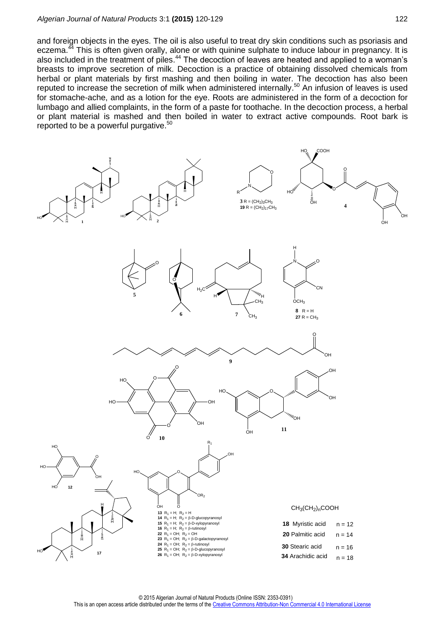#### *Algerian Journal of Natural Products* 3:1 **(2015)** 120-129 122

and foreign objects in the eyes. The oil is also useful to treat dry skin conditions such as psoriasis and eczema.<sup>44</sup> This is often given orally, alone or with quinine sulphate to induce labour in pregnancy. It is also included in the treatment of piles.<sup>44</sup> The decoction of leaves are heated and applied to a woman's breasts to improve secretion of milk. Decoction is a practice of obtaining dissolved chemicals from herbal or plant materials by first mashing and then boiling in water. The decoction has also been reputed to increase the secretion of milk when administered internally.<sup>50</sup> An infusion of leaves is used for stomache-ache, and as a lotion for the eye. Roots are administered in the form of a decoction for lumbago and allied complaints, in the form of a paste for toothache. In the decoction process, a herbal or plant material is mashed and then boiled in water to extract active compounds. Root bark is reported to be a powerful purgative.<sup>50</sup>

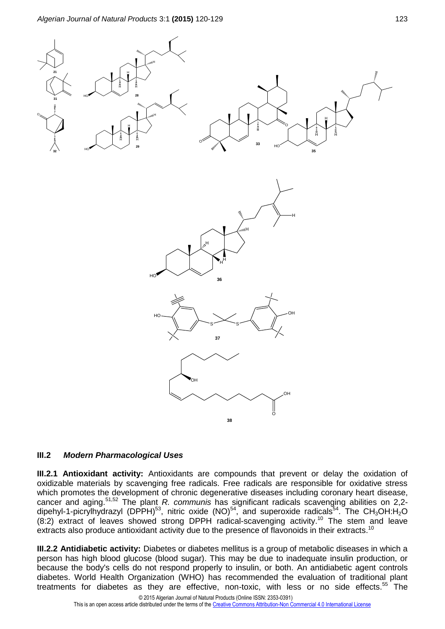

#### **III.2** *Modern Pharmacological Uses*

**III.2.1 Antioxidant activity:** Antioxidants are compounds that prevent or delay the oxidation of oxidizable materials by scavenging free radicals. Free radicals are responsible for oxidative stress which promotes the development of chronic degenerative diseases including coronary heart disease, cancer and aging. 51,52 The plant *R. communis* has significant radicals scavenging abilities on 2,2 dipehyl-1-picrylhydrazyl (DPPH)<sup>53</sup>, nitric oxide (NO)<sup>54</sup>, and superoxide radicals<sup>54</sup>. The CH<sub>3</sub>OH:H<sub>2</sub>O (8:2) extract of leaves showed strong DPPH radical-scavenging activity.<sup>10</sup> The stem and leave extracts also produce antioxidant activity due to the presence of flavonoids in their extracts.<sup>10</sup>

**III.2.2 Antidiabetic activity:** Diabetes or diabetes mellitus is a group of metabolic diseases in which a person has high blood glucose (blood sugar). This may be due to inadequate insulin production, or because the body's cells do not respond properly to insulin, or both. An antidiabetic agent controls diabetes. World Health Organization (WHO) has recommended the evaluation of traditional plant treatments for diabetes as they are effective, non-toxic, with less or no side effects.<sup>55</sup> The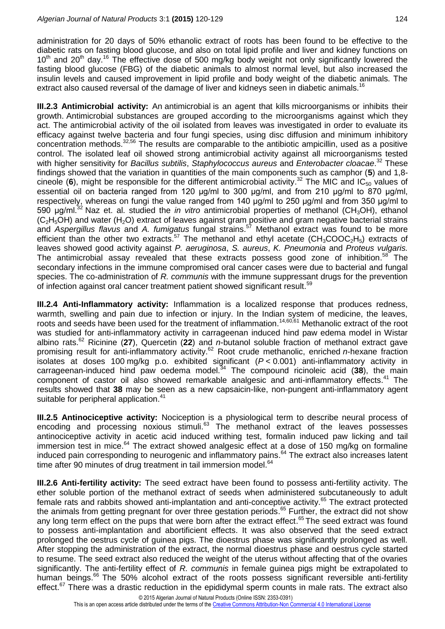administration for 20 days of 50% ethanolic extract of roots has been found to be effective to the diabetic rats on fasting blood glucose, and also on total lipid profile and liver and kidney functions on  $10<sup>th</sup>$  and  $20<sup>th</sup>$  day.<sup>16</sup> The effective dose of 500 mg/kg body weight not only significantly lowered the fasting blood glucose (FBG) of the diabetic animals to almost normal level, but also increased the insulin levels and caused improvement in lipid profile and body weight of the diabetic animals. The extract also caused reversal of the damage of liver and kidneys seen in diabetic animals.<sup>16</sup>

**III.2.3 Antimicrobial activity:** An antimicrobial is an agent that kills microorganisms or inhibits their growth. Antimicrobial substances are grouped according to the microorganisms against which they act. The antimicrobial activity of the oil isolated from leaves was investigated in order to evaluate its efficacy against twelve bacteria and four fungi species, using disc diffusion and minimum inhibitory concentration methods.<sup>32,56</sup> The results are comparable to the antibiotic ampicillin, used as a positive control. The isolated leaf oil showed strong antimicrobial activity against all microorganisms tested with higher sensitivity for *Bacillus subtilis*, *Staphylococcus aureus* and *Enterobacter cloacae*. <sup>32</sup> These findings showed that the variation in quantities of the main components such as camphor (**5**) and 1,8 cineole (6), might be responsible for the different antimicrobial activity.<sup>32</sup> The MIC and IC<sub>50</sub> values of essential oil on bacteria ranged from 120 μg/ml to 300 μg/ml, and from 210 μg/ml to 870 μg/ml, respectively, whereas on fungi the value ranged from 140 μg/ml to 250 μg/ml and from 350 μg/ml to 590 μg/ml.<sup>32</sup>Naz et. al. studied the *in vitro* antimicrobial properties of methanol (CH3OH), ethanol  $(C_2H_5OH)$  and water (H<sub>2</sub>O) extract of leaves against gram positive and gram negative bacterial strains and *Aspergillus flavus* and *A. fumigatus* fungal strains. <sup>57</sup> Methanol extract was found to be more efficient than the other two extracts.<sup>57</sup> The methanol and ethyl acetate (CH<sub>3</sub>COOC<sub>2</sub>H<sub>5</sub>) extracts of leaves showed good activity against *P. aeruginosa*, *S. aureus*, *K. Pneumonia* and *Proteus vulgaris.* The antimicrobial assay revealed that these extracts possess good zone of inhibition.<sup>58</sup> The secondary infections in the immune compromised oral cancer cases were due to bacterial and fungal species. The co-administration of *R. communis* with the immune suppressant drugs for the prevention of infection against oral cancer treatment patient showed significant result.<sup>59</sup>

**III.2.4 Anti-Inflammatory activity:** Inflammation is a localized response that produces redness, warmth, swelling and pain due to infection or injury. In the Indian system of medicine, the leaves, roots and seeds have been used for the treatment of inflammation.<sup>14,60,61</sup> Methanolic extract of the root was studied for anti-inflammatory activity in carrageenan induced hind paw edema model in Wistar albino rats. <sup>62</sup> Ricinine (**27**), Quercetin (**22**) and *n*-butanol soluble fraction of methanol extract gave promising result for anti-inflammatory activity. <sup>62</sup> Root crude methanolic, enriched *n*-hexane fraction isolates at doses 100 mg/kg p.o. exhibited significant (*P* < 0.001) anti-inflammatory activity in carrageenan-induced hind paw oedema model. <sup>34</sup> The compound ricinoleic acid (**38**), the main component of castor oil also showed remarkable analgesic and anti-inflammatory effects.<sup>41</sup> The results showed that **38** may be seen as a new capsaicin-like, non-pungent anti-inflammatory agent suitable for peripheral application.<sup>41</sup>

**III.2.5 Antinociceptive activity:** Nociception is a physiological term to describe neural process of encoding and processing noxious stimuli.<sup>63</sup> The methanol extract of the leaves possesses antinociceptive activity in acetic acid induced writhing test, formalin induced paw licking and tail immersion test in mice.<sup>64</sup> The extract showed analgesic effect at a dose of 150 mg/kg on formaline induced pain corresponding to neurogenic and inflammatory pains.<sup>64</sup> The extract also increases latent time after 90 minutes of drug treatment in tail immersion model.<sup>64</sup>

**III.2.6 Anti-fertility activity:** The seed extract have been found to possess anti-fertility activity. The ether soluble portion of the methanol extract of seeds when administered subcutaneously to adult female rats and rabbits showed anti-implantation and anti-conceptive activity.<sup>65</sup> The extract protected the animals from getting pregnant for over three gestation periods.<sup>65</sup> Further, the extract did not show any long term effect on the pups that were born after the extract effect.<sup>65</sup> The seed extract was found to possess anti-implantation and abortificient effects. It was also observed that the seed extract prolonged the oestrus cycle of guinea pigs. The dioestrus phase was significantly prolonged as well. After stopping the administration of the extract, the normal dioestrus phase and oestrus cycle started to resume. The seed extract also reduced the weight of the uterus without affecting that of the ovaries significantly. The anti-fertility effect of *R. communis* in female guinea pigs might be extrapolated to human beings.<sup>66</sup> The 50% alcohol extract of the roots possess significant reversible anti-fertility effect.<sup>67</sup> There was a drastic reduction in the epididymal sperm counts in male rats. The extract also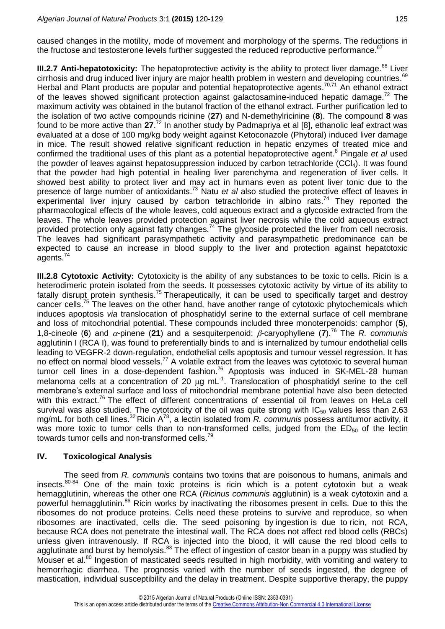caused changes in the motility, mode of movement and morphology of the sperms. The reductions in the fructose and testosterone levels further suggested the reduced reproductive performance.<sup>67</sup>

**III.2.7 Anti-hepatotoxicity:** The hepatoprotective activity is the ability to protect liver damage.<sup>68</sup> Liver cirrhosis and drug induced liver injury are major health problem in western and developing countries.<sup>69</sup> Herbal and Plant products are popular and potential hepatoprotective agents.<sup>70,71</sup> An ethanol extract of the leaves showed significant protection against galactosamine-induced hepatic damage.<sup>72</sup> The maximum activity was obtained in the butanol fraction of the ethanol extract. Further purification led to the isolation of two active compounds ricinine (**27**) and N-demethylricinine (**8**). The compound **8** was found to be more active than **27**. <sup>72</sup> In another study by Padmapriya et al [8], ethanolic leaf extract was evaluated at a dose of 100 mg/kg body weight against Ketoconazole (Phytoral) induced liver damage in mice. The result showed relative significant reduction in hepatic enzymes of treated mice and confirmed the traditional uses of this plant as a potential hepatoprotective agent. <sup>8</sup> Pingale *et al* used the powder of leaves against hepatosuppression induced by carbon tetrachloride (CCl<sub>4</sub>). It was found that the powder had high potential in healing liver parenchyma and regeneration of liver cells. It showed best ability to protect liver and may act in humans even as potent liver tonic due to the presence of large number of antioxidants. <sup>73</sup> Natu *et al* also studied the protective effect of leaves in experimental liver injury caused by carbon tetrachloride in albino rats.<sup>74</sup> They reported the pharmacological effects of the whole leaves, cold aqueous extract and a glycoside extracted from the leaves. The whole leaves provided protection against liver necrosis while the cold aqueous extract provided protection only against fatty changes.<sup>74</sup> The glycoside protected the liver from cell necrosis. The leaves had significant parasympathetic activity and parasympathetic predominance can be expected to cause an increase in blood supply to the liver and protection against hepatotoxic agents. 74

**III.2.8 Cytotoxic Activity:** Cytotoxicity is the ability of any substances to be toxic to cells. Ricin is a heterodimeric protein isolated from the seeds. It possesses cytotoxic activity by virtue of its ability to fatally disrupt protein synthesis.<sup>75</sup> Therapeutically, it can be used to specifically target and destroy cancer cells.<sup>75</sup> The leaves on the other hand, have another range of cytotoxic phytochemicals which induces apoptosis *via* translocation of phosphatidyl serine to the external surface of cell membrane and loss of mitochondrial potential. These compounds included three monoterpenoids: camphor (**5**), 1,8-cineole (6) and  $\alpha$ -pinene (21) and a sesquiterpenoid:  $\beta$ -caryophyllene (7).<sup>76</sup> The *R. communis* agglutinin I (RCA I), was found to preferentially binds to and is internalized by tumour endothelial cells leading to VEGFR-2 down-regulation, endothelial cells apoptosis and tumour vessel regression. It has no effect on normal blood vessels.<sup>77</sup> A volatile extract from the leaves was cytotoxic to several human tumor cell lines in a dose-dependent fashion.<sup>76</sup> Apoptosis was induced in SK-MEL-28 human melanoma cells at a concentration of 20  $\mu$ g mL<sup>-1</sup>. Translocation of phosphatidyl serine to the cell membrane's external surface and loss of mitochondrial membrane potential have also been detected with this extract.<sup>76</sup> The effect of different concentrations of essential oil from leaves on HeLa cell survival was also studied. The cytotoxicity of the oil was quite strong with  $IC_{50}$  values less than 2.63 mg/mL for both cell lines.<sup>32</sup> Ricin A<sup>78</sup>, a lectin isolated from *R. communis* possess antitumor activity, it was more toxic to tumor cells than to non-transformed cells, judged from the  $ED_{50}$  of the lectin towards tumor cells and non-transformed cells.<sup>79</sup>

## **IV. Toxicological Analysis**

The seed from *R. communis* contains two toxins that are poisonous to humans, animals and insects. $80-84$  One of the main toxic proteins is ricin which is a potent cytotoxin but a weak hemagglutinin, whereas the other one RCA (*Ricinus communis* agglutinin) is a weak cytotoxin and a powerful hemagglutinin.<sup>86</sup> Ricin works by inactivating the ribosomes present in cells. Due to this the ribosomes do not produce proteins. Cells need these proteins to survive and reproduce, so when ribosomes are inactivated, cells die. The seed poisoning by ingestion is due to ricin, not RCA, because RCA does not penetrate the intestinal wall. The RCA does not affect red blood cells (RBCs) unless given intravenously. If RCA is injected into the blood, it will cause the red blood cells to agglutinate and burst by hemolysis.<sup>83</sup> The effect of ingestion of castor bean in a puppy was studied by Mouser et al.<sup>80</sup> Ingestion of masticated seeds resulted in high morbidity, with vomiting and watery to hemorrhagic diarrhea. The prognosis varied with the number of seeds ingested, the degree of mastication, individual susceptibility and the delay in treatment. Despite supportive therapy, the puppy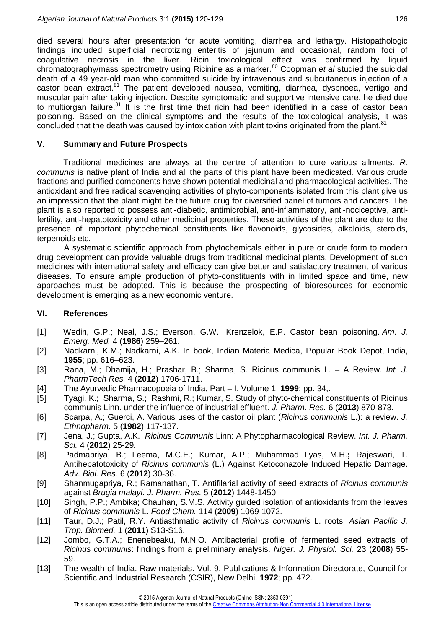died several hours after presentation for acute vomiting, diarrhea and lethargy. Histopathologic findings included superficial necrotizing enteritis of jejunum and occasional, random foci of coagulative necrosis in the liver. Ricin toxicological effect was confirmed by liquid chromatography/mass spectrometry using Ricinine as a marker. <sup>80</sup> Coopman *et al* studied the suicidal death of a 49 year-old man who committed suicide by intravenous and subcutaneous injection of a castor bean extract.<sup>81</sup> The patient developed nausea, vomiting, diarrhea, dyspnoea, vertigo and muscular pain after taking injection. Despite symptomatic and supportive intensive care, he died due to multiorgan failure.<sup>81</sup> It is the first time that ricin had been identified in a case of castor bean poisoning. Based on the clinical symptoms and the results of the toxicological analysis, it was concluded that the death was caused by intoxication with plant toxins originated from the plant.<sup>81</sup>

## **V. Summary and Future Prospects**

Traditional medicines are always at the centre of attention to cure various ailments. *R. communis* is native plant of India and all the parts of this plant have been medicated. Various crude fractions and purified components have shown potential medicinal and pharmacological activities. The antioxidant and free radical scavenging activities of phyto-components isolated from this plant give us an impression that the plant might be the future drug for diversified panel of tumors and cancers. The plant is also reported to possess anti-diabetic, antimicrobial, anti-inflammatory, anti-nociceptive, antifertility, anti-hepatotoxicity and other medicinal properties. These activities of the plant are due to the presence of important phytochemical constituents like flavonoids, glycosides, alkaloids, steroids, terpenoids etc.

A systematic scientific approach from phytochemicals either in pure or crude form to modern drug development can provide valuable drugs from traditional medicinal plants. Development of such medicines with international safety and efficacy can give better and satisfactory treatment of various diseases. To ensure ample production of phyto-constituents with in limited space and time, new approaches must be adopted. This is because the prospecting of bioresources for economic development is emerging as a new economic venture.

## **VI. References**

- [1] Wedin, G.P.; Neal, J.S.; Everson, G.W.; Krenzelok, E.P. Castor bean poisoning. *Am. J. Emerg. Med.* 4 (**1986**) 259–261.
- [2] Nadkarni, K.M.; Nadkarni, A.K. In book, Indian Materia Medica, Popular Book Depot, India, **1955**; pp. 616–623.
- [3] Rana, M.; Dhamija, H.; Prashar, B.; Sharma, S. Ricinus communis L. A Review. *Int. J. PharmTech Res.* 4 (**2012**) 1706-1711.
- [4] The Ayurvedic Pharmacopoeia of India, Part I, Volume 1, **1999**; pp. 34,.
- [5] Tyagi, K.; Sharma, S.; Rashmi, R.; Kumar, S. Study of phyto-chemical constituents of Ricinus communis Linn. under the influence of industrial effluent. *J. Pharm. Res.* 6 (**2013**) 870-873.
- [6] Scarpa, A.; Guerci, A. Various uses of the castor oil plant (*Ricinus communis* L.): a review. *J. Ethnopharm.* 5 (**1982**) 117-137.
- [7] Jena, J.; Gupta, A.K. *Ricinus Communis* Linn: A Phytopharmacological Review. *Int. J. Pharm. Sci.* 4 (**2012**) 25-29*.*
- [8] Padmapriya, B.; Leema, M.C.E.; Kumar, A.P.; Muhammad Ilyas, M.H.**;** Rajeswari, T. Antihepatotoxicity of *Ricinus communis* (L.) Against Ketoconazole Induced Hepatic Damage. *Adv. Biol. Res.* 6 (**2012**) 30-36.
- [9] Shanmugapriya, R.; Ramanathan, T. Antifilarial activity of seed extracts of *Ricinus communis*  against *Brugia malayi*. *J. Pharm. Res.* 5 (**2012**) 1448-1450.
- [10] Singh, P.P.; Ambika; Chauhan, S.M.S. Activity guided isolation of antioxidants from the leaves of *Ricinus communis* L. *Food Chem.* 114 (**2009**) 1069-1072.
- [11] Taur, D.J.; Patil, R.Y. Antiasthmatic activity of *Ricinus communis* L. roots. *Asian Pacific J. Trop. Biomed.* 1 (**2011**) S13-S16.
- [12] Jombo, G.T.A.; Enenebeaku, M.N.O. Antibacterial profile of fermented seed extracts of *Ricinus communis*: findings from a preliminary analysis. *Niger. J. Physiol. Sci.* 23 (**2008**) 55- 59.
- [13] The wealth of India. Raw materials. Vol. 9. Publications & Information Directorate, Council for Scientific and Industrial Research (CSIR), New Delhi. **1972**; pp. 472.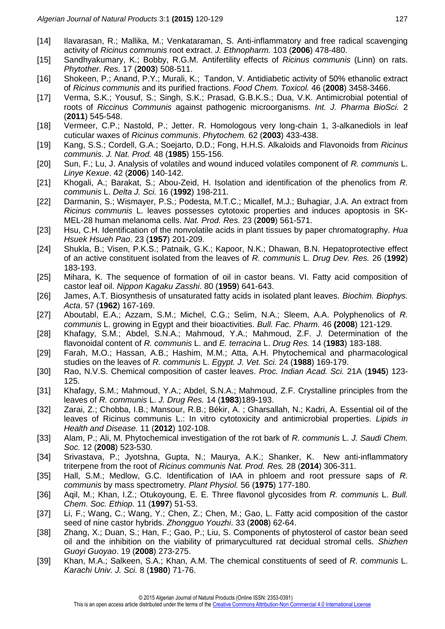- [14] Ilavarasan, R.; Mallika, M.; Venkataraman, S. Anti-inflammatory and free radical scavenging activity of *Ricinus communis* root extract. *J. Ethnopharm.* 103 (**2006**) 478-480.
- [15] Sandhyakumary, K.; Bobby, R.G.M. Antifertility effects of *Ricinus communis* (Linn) on rats. *Phytother. Res.* 17 (**2003**) 508-511.
- [16] Shokeen, P.; Anand, P.Y.; Murali, K.; Tandon, V. Antidiabetic activity of 50% ethanolic extract of *Ricinus communis* and its purified fractions. *Food Chem. Toxicol.* 46 (**2008**) 3458-3466.
- [17] Verma, S.K.; Yousuf, S.; Singh, S.K.; Prasad, G.B.K.S.; Dua, V.K. Antimicrobial potential of roots of *Riccinus Communis* against pathogenic microorganisms. *Int. J. Pharma BioSci.* 2 (**2011**) 545-548.
- [18] Vermeer, C.P.; Nastold, P.; Jetter. R. Homologous very long-chain 1, 3-alkanediols in leaf cuticular waxes of *Ricinus communis*. *Phytochem.* 62 (**2003**) 433-438.
- [19] Kang, S.S.; Cordell, G.A.; Soejarto, D.D.; Fong, H.H.S. Alkaloids and Flavonoids from *Ricinus communis*. *J. Nat. Prod.* 48 (**1985**) 155-156.
- [20] Sun, F.; Lu, J. Analysis of volatiles and wound induced volatiles component of *R. communis* L. *Linye Kexue*. 42 (**2006**) 140-142.
- [21] Khogali, A.; Barakat, S.; Abou-Zeid, H. Isolation and identification of the phenolics from *R. communis* L. *Delta J. Sci.* 16 (**1992**) 198-211.
- [22] Darmanin, S.; Wismayer, P.S.; Podesta, M.T.C.; Micallef, M.J.; Buhagiar, J.A. An extract from *Ricinus communis* L. leaves possesses cytotoxic properties and induces apoptosis in SK-MEL-28 human melanoma cells. *Nat. Prod. Res.* 23 (**2009**) 561-571.
- [23] Hsu, C.H. Identification of the nonvolatile acids in plant tissues by paper chromatography. *Hua Hsuek Hsueh Pao*. 23 (**1957**) 201-209.
- [24] Shukla, B.; Visen, P.K.S.; Patnaik, G.K.; Kapoor, N.K.; Dhawan, B.N. Hepatoprotective effect of an active constituent isolated from the leaves of *R. communis* L. *Drug Dev. Res.* 26 (**1992**) 183-193.
- [25] Mihara, K. The sequence of formation of oil in castor beans. VI. Fatty acid composition of castor leaf oil. *Nippon Kagaku Zasshi*. 80 (**1959**) 641-643.
- [26] James, A.T. Biosynthesis of unsaturated fatty acids in isolated plant leaves. *Biochim. Biophys. Acta*. 57 (**1962**) 167-169.
- [27] Aboutabl, E.A.; Azzam, S.M.; Michel, C.G.; Selim, N.A.; Sleem, A.A. Polyphenolics of *R. communis* L. growing in Egypt and their bioactivities. *Bull. Fac. Pharm.* 46 **(2008**) 121-129.
- [28] Khafagy, S.M.; Abdel, S.N.A.; Mahmoud, Y.A.; Mahmoud, Z.F. *J.* Determination of the flavonoidal content of *R. communis* L. and *E. terracina* L. *Drug Res.* 14 (**1983**) 183-188.
- [29] Farah, M.O.; Hassan, A.B.; Hashim, M.M.; Atta, A.H. Phytochemical and pharmacological studies on the leaves of *R. communis* L. *Egypt. J. Vet. Sci.* 24 (**1988**) 169-179.
- [30] Rao, N.V.S. Chemical composition of caster leaves. *Proc. Indian Acad. Sci.* 21A (**1945**) 123- 125.
- [31] Khafagy, S.M.; Mahmoud, Y.A.; Abdel, S.N.A.; Mahmoud, Z.F. Crystalline principles from the leaves of *R. communis* L. *J. Drug Res.* 14 (**1983**)189-193.
- [32] Zarai, Z.; Chobba, I.B.; Mansour, R.B.; Békir, A.; Gharsallah, N.; Kadri, A. Essential oil of the leaves of Ricinus communis L.: In vitro cytotoxicity and antimicrobial properties. *Lipids in Health and Disease.* 11 (**2012**) 102-108.
- [33] Alam, P.; Ali, M. Phytochemical investigation of the rot bark of *R. communis* L. *J. Saudi Chem. Soc.* 12 (**2008**) 523-530.
- [34] Srivastava, P.; Jyotshna, Gupta, N.; Maurya, A.K.; Shanker, K. New anti-inflammatory triterpene from the root of *Ricinus communis Nat. Prod. Res.* 28 (**2014**) 306-311.
- [35] Hall, S.M.; Medlow, G.C. Identification of IAA in phloem and root pressure saps of *R. communis* by mass spectrometry. *Plant Physiol.* 56 (**1975**) 177-180.
- [36] Aqil, M.; Khan, I.Z.; Otukoyoung, E. E. Three flavonol glycosides from *R. communis* L. *Bull. Chem. Soc. Ethiop.* 11 (**1997**) 51-53.
- [37] Li, F.; Wang, C.; Wang, Y.; Chen, Z.; Chen, M.; Gao, L. Fatty acid composition of the castor seed of nine castor hybrids. *Zhongguo Youzhi*. 33 (**2008**) 62-64.
- [38] Zhang, X.; Duan, S.; Han, F.; Gao, P.; Liu, S. Components of phytosterol of castor bean seed oil and the inhibition on the viability of primarycultured rat decidual stromal cells. *Shizhen Guoyi Guoyao*. 19 (**2008**) 273-275.
- [39] Khan, M.A.; Salkeen, S.A.; Khan, A.M. The chemical constituents of seed of *R. communis* L. *Karachi Univ. J. Sci.* 8 (**1980**) 71-76.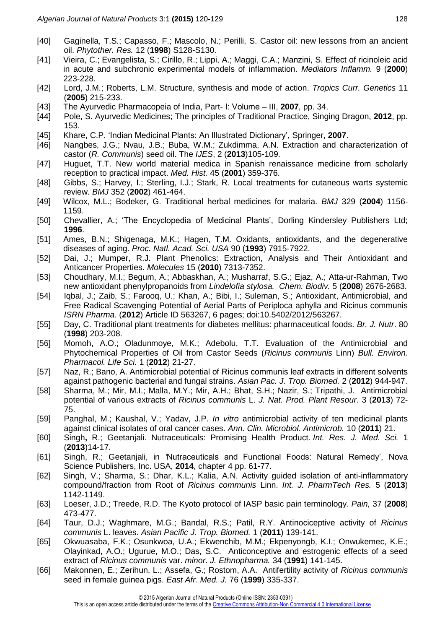- [40] Gaginella, T.S.; Capasso, F.; Mascolo, N.; Perilli, S. Castor oil: new lessons from an ancient oil. *Phytother. Res.* 12 (**1998**) S128-S130.
- [41] Vieira, C.; Evangelista, S.; Cirillo, R.; Lippi, A.; Maggi, C.A.; Manzini, S. Effect of ricinoleic acid in acute and subchronic experimental models of inflammation. *Mediators Inflamm.* 9 (**2000**) 223-228.
- [42] Lord, J.M.; Roberts, L.M. Structure, synthesis and mode of action. *Tropics Curr. Genetics* 11 (**2005**) 215-233.
- [43] The Ayurvedic Pharmacopeia of India, Part- І: Volume III, **2007**, pp. 34.
- [44] Pole, S. Ayurvedic Medicines; The principles of Traditional Practice, Singing Dragon, **2012**, pp. 153.
- [45] Khare, C.P. 'Indian Medicinal Plants: An Illustrated Dictionary', Springer, **2007**.
- [46] Nangbes, J.G.; Nvau, J.B.; Buba, W.M.; Zukdimma, A.N. Extraction and characterization of castor (*R. Communis*) seed oil. The *IJES*, 2 (**2013**)105-109.
- [47] Huguet, T.T. New world material medica in Spanish renaissance medicine from scholarly reception to practical impact. *Med. Hist.* 45 (**2001**) 359-376.
- [48] Gibbs, S.; Harvey, I.; Sterling, I.J.; Stark, R. Local treatments for cutaneous warts systemic review. *BMJ* 352 (**2002**) 461-464.
- [49] Wilcox, M.L.; Bodeker, G. Traditional herbal medicines for malaria. *BMJ* 329 (**2004**) 1156- 1159.
- [50] Chevallier, A.; 'The Encyclopedia of Medicinal Plants', Dorling Kindersley Publishers Ltd; **1996**.
- [51] Ames, B.N.; Shigenaga, M.K.; Hagen, T.M. Oxidants, antioxidants, and the degenerative diseases of aging. *Proc. Natl. Acad. Sci. USA* 90 (**1993**) 7915-7922.
- [52] Dai, J.; Mumper, R.J. Plant Phenolics: Extraction, Analysis and Their Antioxidant and Anticancer Properties. *Molecules* 15 (**2010**) 7313-7352.
- [53] Choudhary, M.I.; Begum, A.; Abbaskhan, A.; Musharraf, S.G.; Ejaz, A.; Atta-ur-Rahman, Two new antioxidant phenylpropanoids from *Lindelofia stylosa. Chem. Biodiv.* 5 (**2008**) 2676-2683.
- [54] Iqbal, J.; Zaib, S.; Farooq, U.; Khan, A.; Bibi, I.; Suleman, S.; Antioxidant, Antimicrobial, and Free Radical Scavenging Potential of Aerial Parts of Periploca aphylla and Ricinus communis *ISRN Pharma.* (**2012**) Article ID 563267, 6 pages; doi:10.5402/2012/563267.
- [55] Day, C. Traditional plant treatments for diabetes mellitus: pharmaceutical foods. *Br. J. Nutr*. 80 (**1998**) 203-208.
- [56] Momoh, A.O.; Oladunmoye, M.K.; Adebolu, T.T. Evaluation of the Antimicrobial and Phytochemical Properties of Oil from Castor Seeds (*Ricinus communis* Linn) *Bull. Environ. Pharmacol. Life Sci.* 1 (**2012**) 21-27.
- [57] Naz, R.; Bano, A. Antimicrobial potential of Ricinus communis leaf extracts in different solvents against pathogenic bacterial and fungal strains. *Asian Pac. J. Trop. Biomed.* 2 (**2012**) 944-947.
- [58] Sharma, M.; Mir, M.I.; Malla, M.Y.; Mir, A.H.; Bhat, S.H.; Nazir, S.; Tripathi, J. Antimicrobial potential of various extracts of *Ricinus communis* L. *J. Nat. Prod. Plant Resour*. 3 (**2013**) 72- 75.
- [59] Panghal, M.; Kaushal, V.; Yadav, J.P. *In vitro* antimicrobial activity of ten medicinal plants against clinical isolates of oral cancer cases. *Ann. Clin. Microbiol. Antimicrob.* 10 (**2011**) 21.
- [60] Singh**,** R.; Geetanjali. Nutraceuticals: Promising Health Product. *Int. Res. J. Med. Sci.* 1 (**2013**)14-17.
- [61] Singh, R.; Geetanjali, in *'*Nutraceuticals and Functional Foods: Natural Remedy', Nova Science Publishers, Inc. USA, **2014**, chapter 4 pp. 61-77.
- [62] Singh, V.; Sharma, S.; Dhar, K.L.; Kalia, A.N. Activity guided isolation of anti-inflammatory compound/fraction from Root of *Ricinus communis* Linn. *Int. J. PharmTech Res.* 5 (**2013**) 1142-1149.
- [63] Loeser, J.D.; Treede, R.D. The Kyoto protocol of IASP basic pain terminology. *Pain,* 37 (**2008**) 473-477.
- [64] Taur, D.J.; Waghmare, M.G.; Bandal, R.S.; Patil, R.Y. Antinociceptive activity of *Ricinus communis* L. leaves. *Asian Pacific J. Trop. Biomed.* 1 (**2011**) 139-141.
- [65] Okwuasaba, F.K.; Osunkwoa, U.A.; Ekwenchib, M.M.; Ekpenyongb, K.I.; Onwukemec, K.E.; Olayinkad, A.O.; Ugurue, M.O.; Das, S.C. Anticonceptive and estrogenic effects of a seed extract of *Ricinus communis* var. *minor*. *J. Ethnopharma.* 34 (**1991**) 141-145.
- [66] Makonnen, E.; Zerihun, L.; Assefa, G.; Rostom, A.A. Antifertility activity of *Ricinus communis*  seed in female guinea pigs. *East Afr. Med. J.* 76 (**1999**) 335-337.